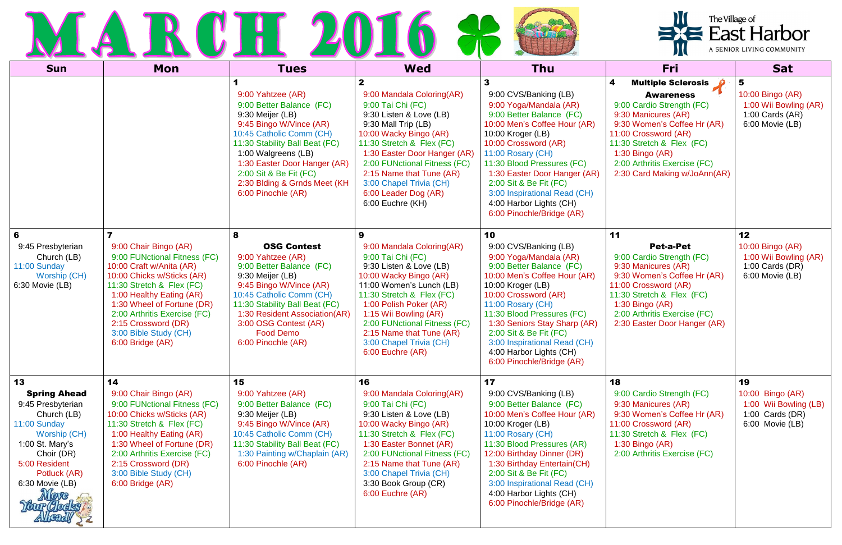|                      | <u>a sa Barata</u> | $\mathcal{L}$<br>- 11 |       |  |
|----------------------|--------------------|-----------------------|-------|--|
| $\sim$ $\sim$ $\sim$ | $\blacksquare$     |                       | $M =$ |  |

| <b>Sun</b>                                                                                                                                                                         | Mon                                                                                                                                                                                                                                                                                                        | <b>Tues</b>                                                                                                                                                                                                                                                                                       | <b>Wed</b>                                                                                                                                                                                                                                                                                                                                 | Thu                                                                                                                                                                                                                                                                                                                                                                 | <b>Fri</b>                                                                                                                                                                                                                                                                 | <b>Sat</b>                                                                                                   |
|------------------------------------------------------------------------------------------------------------------------------------------------------------------------------------|------------------------------------------------------------------------------------------------------------------------------------------------------------------------------------------------------------------------------------------------------------------------------------------------------------|---------------------------------------------------------------------------------------------------------------------------------------------------------------------------------------------------------------------------------------------------------------------------------------------------|--------------------------------------------------------------------------------------------------------------------------------------------------------------------------------------------------------------------------------------------------------------------------------------------------------------------------------------------|---------------------------------------------------------------------------------------------------------------------------------------------------------------------------------------------------------------------------------------------------------------------------------------------------------------------------------------------------------------------|----------------------------------------------------------------------------------------------------------------------------------------------------------------------------------------------------------------------------------------------------------------------------|--------------------------------------------------------------------------------------------------------------|
|                                                                                                                                                                                    |                                                                                                                                                                                                                                                                                                            | 9:00 Yahtzee (AR)<br>9:00 Better Balance (FC)<br>9:30 Meijer (LB)<br>9:45 Bingo W/Vince (AR)<br>10:45 Catholic Comm (CH)<br>11:30 Stability Ball Beat (FC)<br>1:00 Walgreens (LB)<br>1:30 Easter Door Hanger (AR)<br>2:00 Sit & Be Fit (FC)<br>2:30 Blding & Grnds Meet (KH<br>6:00 Pinochle (AR) | $\mathbf{2}$<br>9:00 Mandala Coloring(AR)<br>9:00 Tai Chi (FC)<br>9:30 Listen & Love (LB)<br>9:30 Mall Trip (LB)<br>10:00 Wacky Bingo (AR)<br>11:30 Stretch & Flex (FC)<br>1:30 Easter Door Hanger (AR)<br>2:00 FUNctional Fitness (FC)<br>2:15 Name that Tune (AR)<br>3:00 Chapel Trivia (CH)<br>6:00 Leader Dog (AR)<br>6:00 Euchre (KH) | 3<br>9:00 CVS/Banking (LB)<br>9:00 Yoga/Mandala (AR)<br>9:00 Better Balance (FC)<br>10:00 Men's Coffee Hour (AR)<br>10:00 Kroger (LB)<br>10:00 Crossword (AR)<br>11:00 Rosary (CH)<br>11:30 Blood Pressures (FC)<br>1:30 Easter Door Hanger (AR)<br>2:00 Sit & Be Fit (FC)<br>3:00 Inspirational Read (CH)<br>4:00 Harbor Lights (CH)<br>6:00 Pinochle/Bridge (AR)  | <b>Multiple Sclerosis</b><br><b>Awareness</b><br>9:00 Cardio Strength (FC)<br>9:30 Manicures (AR)<br>9:30 Women's Coffee Hr (AR)<br>11:00 Crossword (AR)<br>11:30 Stretch & Flex (FC)<br>$1:30$ Bingo (AR)<br>2:00 Arthritis Exercise (FC)<br>2:30 Card Making w/JoAnn(AR) | $\overline{\mathbf{5}}$<br>10:00 Bingo (AR)<br>1:00 Wii Bowling (AR)<br>1:00 Cards $(AR)$<br>6:00 Movie (LB) |
| 6<br>9:45 Presbyterian<br>Church (LB)<br>11:00 Sunday<br>Worship (CH)<br>$6:30$ Movie (LB)                                                                                         | 9:00 Chair Bingo (AR)<br>9:00 FUNctional Fitness (FC)<br>10:00 Craft w/Anita (AR)<br>10:00 Chicks w/Sticks (AR)<br>11:30 Stretch & Flex (FC)<br>1:00 Healthy Eating (AR)<br>1:30 Wheel of Fortune (DR)<br>2:00 Arthritis Exercise (FC)<br>2:15 Crossword (DR)<br>3:00 Bible Study (CH)<br>6:00 Bridge (AR) | 8<br><b>OSG Contest</b><br>9:00 Yahtzee (AR)<br>9:00 Better Balance (FC)<br>9:30 Meijer (LB)<br>9:45 Bingo W/Vince (AR)<br>10:45 Catholic Comm (CH)<br>11:30 Stability Ball Beat (FC)<br>1:30 Resident Association(AR)<br>3:00 OSG Contest (AR)<br><b>Food Demo</b><br>6:00 Pinochle (AR)         | 9<br>9:00 Mandala Coloring (AR)<br>9:00 Tai Chi (FC)<br>9:30 Listen & Love (LB)<br>10:00 Wacky Bingo (AR)<br>11:00 Women's Lunch (LB)<br>11:30 Stretch & Flex (FC)<br>1:00 Polish Poker (AR)<br>1:15 Wii Bowling (AR)<br>2:00 FUNctional Fitness (FC)<br>2:15 Name that Tune (AR)<br>3:00 Chapel Trivia (CH)<br>6:00 Euchre (AR)           | 10<br>9:00 CVS/Banking (LB)<br>9:00 Yoga/Mandala (AR)<br>9:00 Better Balance (FC)<br>10:00 Men's Coffee Hour (AR)<br>10:00 Kroger (LB)<br>10:00 Crossword (AR)<br>11:00 Rosary (CH)<br>11:30 Blood Pressures (FC)<br>1:30 Seniors Stay Sharp (AR)<br>2:00 Sit & Be Fit (FC)<br>3:00 Inspirational Read (CH)<br>4:00 Harbor Lights (CH)<br>6:00 Pinochle/Bridge (AR) | 11<br>Pet-a-Pet<br>9:00 Cardio Strength (FC)<br>9:30 Manicures (AR)<br>9:30 Women's Coffee Hr (AR)<br>11:00 Crossword (AR)<br>11:30 Stretch & Flex (FC)<br>$1:30$ Bingo (AR)<br>2:00 Arthritis Exercise (FC)<br>2:30 Easter Door Hanger (AR)                               | 12<br>10:00 Bingo (AR)<br>1:00 Wii Bowling (AR)<br>1:00 Cards $(DR)$<br>6:00 Movie (LB)                      |
| 13<br><b>Spring Ahead</b><br>9:45 Presbyterian<br>Church (LB)<br>11:00 Sunday<br>Worship (CH)<br>1:00 St. Mary's<br>Choir (DR)<br>5:00 Resident<br>Potluck (AR)<br>6:30 Movie (LB) | 14<br>9:00 Chair Bingo (AR)<br>9:00 FUNctional Fitness (FC)<br>10:00 Chicks w/Sticks (AR)<br>11:30 Stretch & Flex (FC)<br>1:00 Healthy Eating (AR)<br>1:30 Wheel of Fortune (DR)<br>2:00 Arthritis Exercise (FC)<br>2:15 Crossword (DR)<br>3:00 Bible Study (CH)<br>6:00 Bridge (AR)                       | 15<br>9:00 Yahtzee (AR)<br>9:00 Better Balance (FC)<br>9:30 Meijer (LB)<br>9:45 Bingo W/Vince (AR)<br>10:45 Catholic Comm (CH)<br>11:30 Stability Ball Beat (FC)<br>1:30 Painting w/Chaplain (AR)<br>6:00 Pinochle (AR)                                                                           | 16<br>9:00 Mandala Coloring(AR)<br>9:00 Tai Chi (FC)<br>9:30 Listen & Love (LB)<br>10:00 Wacky Bingo (AR)<br>11:30 Stretch & Flex (FC)<br>1:30 Easter Bonnet (AR)<br>2:00 FUNctional Fitness (FC)<br>2:15 Name that Tune (AR)<br>3:00 Chapel Trivia (CH)<br>3:30 Book Group (CR)<br>6:00 Euchre (AR)                                       | 17<br>9:00 CVS/Banking (LB)<br>9:00 Better Balance (FC)<br>10:00 Men's Coffee Hour (AR)<br>10:00 Kroger (LB)<br>11:00 Rosary (CH)<br>11:30 Blood Pressures (AR)<br>12:00 Birthday Dinner (DR)<br>1:30 Birthday Entertain(CH)<br>2:00 Sit & Be Fit (FC)<br>3:00 Inspirational Read (CH)<br>4:00 Harbor Lights (CH)<br>6:00 Pinochle/Bridge (AR)                      | 18<br>9:00 Cardio Strength (FC)<br>9:30 Manicures (AR)<br>9:30 Women's Coffee Hr (AR)<br>11:00 Crossword (AR)<br>11:30 Stretch & Flex (FC)<br>$1:30$ Bingo (AR)<br>2:00 Arthritis Exercise (FC)                                                                            | 19<br>10:00 Bingo (AR)<br>1:00 Wii Bowling (LB)<br>1:00 Cards $(DR)$<br>6:00 Movie (LB)                      |

| The Village of            |
|---------------------------|
| <b>East Harbor</b>        |
| A SENIOR LIVING COMMUNITY |

 $\equiv$ X $\equiv$ 

IJU